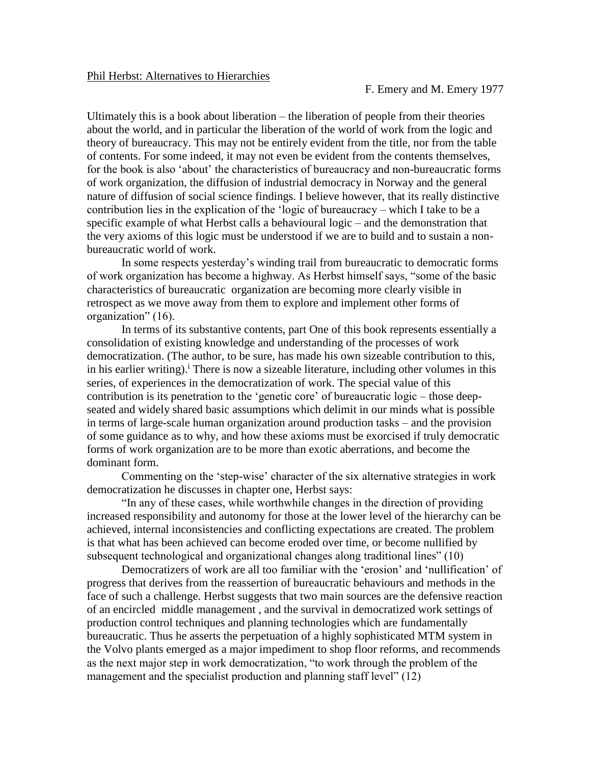Ultimately this is a book about liberation – the liberation of people from their theories about the world, and in particular the liberation of the world of work from the logic and theory of bureaucracy. This may not be entirely evident from the title, nor from the table of contents. For some indeed, it may not even be evident from the contents themselves, for the book is also 'about' the characteristics of bureaucracy and non-bureaucratic forms of work organization, the diffusion of industrial democracy in Norway and the general nature of diffusion of social science findings. I believe however, that its really distinctive contribution lies in the explication of the 'logic of bureaucracy – which I take to be a specific example of what Herbst calls a behavioural logic – and the demonstration that the very axioms of this logic must be understood if we are to build and to sustain a nonbureaucratic world of work.

In some respects yesterday's winding trail from bureaucratic to democratic forms of work organization has become a highway. As Herbst himself says, "some of the basic characteristics of bureaucratic organization are becoming more clearly visible in retrospect as we move away from them to explore and implement other forms of organization" (16).

In terms of its substantive contents, part One of this book represents essentially a consolidation of existing knowledge and understanding of the processes of work democratization. (The author, to be sure, has made his own sizeable contribution to this, in his earlier writing).<sup>i</sup> There is now a sizeable literature, including other volumes in this series, of experiences in the democratization of work. The special value of this contribution is its penetration to the 'genetic core' of bureaucratic logic – those deepseated and widely shared basic assumptions which delimit in our minds what is possible in terms of large-scale human organization around production tasks – and the provision of some guidance as to why, and how these axioms must be exorcised if truly democratic forms of work organization are to be more than exotic aberrations, and become the dominant form.

Commenting on the 'step-wise' character of the six alternative strategies in work democratization he discusses in chapter one, Herbst says:

"In any of these cases, while worthwhile changes in the direction of providing increased responsibility and autonomy for those at the lower level of the hierarchy can be achieved, internal inconsistencies and conflicting expectations are created. The problem is that what has been achieved can become eroded over time, or become nullified by subsequent technological and organizational changes along traditional lines" (10)

Democratizers of work are all too familiar with the 'erosion' and 'nullification' of progress that derives from the reassertion of bureaucratic behaviours and methods in the face of such a challenge. Herbst suggests that two main sources are the defensive reaction of an encircled middle management , and the survival in democratized work settings of production control techniques and planning technologies which are fundamentally bureaucratic. Thus he asserts the perpetuation of a highly sophisticated MTM system in the Volvo plants emerged as a major impediment to shop floor reforms, and recommends as the next major step in work democratization, "to work through the problem of the management and the specialist production and planning staff level" (12)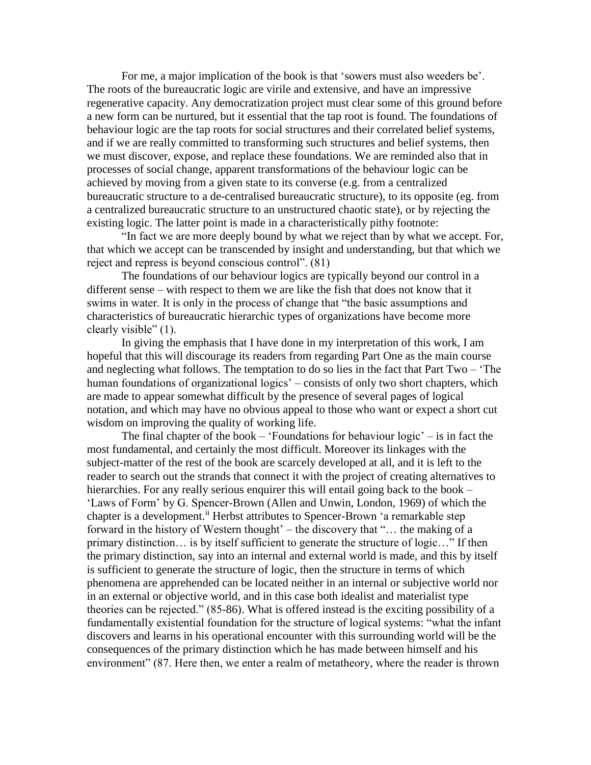For me, a major implication of the book is that 'sowers must also weeders be'. The roots of the bureaucratic logic are virile and extensive, and have an impressive regenerative capacity. Any democratization project must clear some of this ground before a new form can be nurtured, but it essential that the tap root is found. The foundations of behaviour logic are the tap roots for social structures and their correlated belief systems, and if we are really committed to transforming such structures and belief systems, then we must discover, expose, and replace these foundations. We are reminded also that in processes of social change, apparent transformations of the behaviour logic can be achieved by moving from a given state to its converse (e.g. from a centralized bureaucratic structure to a de-centralised bureaucratic structure), to its opposite (eg. from a centralized bureaucratic structure to an unstructured chaotic state), or by rejecting the existing logic. The latter point is made in a characteristically pithy footnote:

"In fact we are more deeply bound by what we reject than by what we accept. For, that which we accept can be transcended by insight and understanding, but that which we reject and repress is beyond conscious control". (81)

The foundations of our behaviour logics are typically beyond our control in a different sense – with respect to them we are like the fish that does not know that it swims in water. It is only in the process of change that "the basic assumptions and characteristics of bureaucratic hierarchic types of organizations have become more clearly visible" (1).

In giving the emphasis that I have done in my interpretation of this work, I am hopeful that this will discourage its readers from regarding Part One as the main course and neglecting what follows. The temptation to do so lies in the fact that Part Two – 'The human foundations of organizational logics' – consists of only two short chapters, which are made to appear somewhat difficult by the presence of several pages of logical notation, and which may have no obvious appeal to those who want or expect a short cut wisdom on improving the quality of working life.

The final chapter of the book – 'Foundations for behaviour logic' – is in fact the most fundamental, and certainly the most difficult. Moreover its linkages with the subject-matter of the rest of the book are scarcely developed at all, and it is left to the reader to search out the strands that connect it with the project of creating alternatives to hierarchies. For any really serious enquirer this will entail going back to the book – 'Laws of Form' by G. Spencer-Brown (Allen and Unwin, London, 1969) of which the chapter is a development.<sup>ii</sup> Herbst attributes to Spencer-Brown 'a remarkable step forward in the history of Western thought' – the discovery that "… the making of a primary distinction… is by itself sufficient to generate the structure of logic…" If then the primary distinction, say into an internal and external world is made, and this by itself is sufficient to generate the structure of logic, then the structure in terms of which phenomena are apprehended can be located neither in an internal or subjective world nor in an external or objective world, and in this case both idealist and materialist type theories can be rejected." (85-86). What is offered instead is the exciting possibility of a fundamentally existential foundation for the structure of logical systems: "what the infant discovers and learns in his operational encounter with this surrounding world will be the consequences of the primary distinction which he has made between himself and his environment" (87. Here then, we enter a realm of metatheory, where the reader is thrown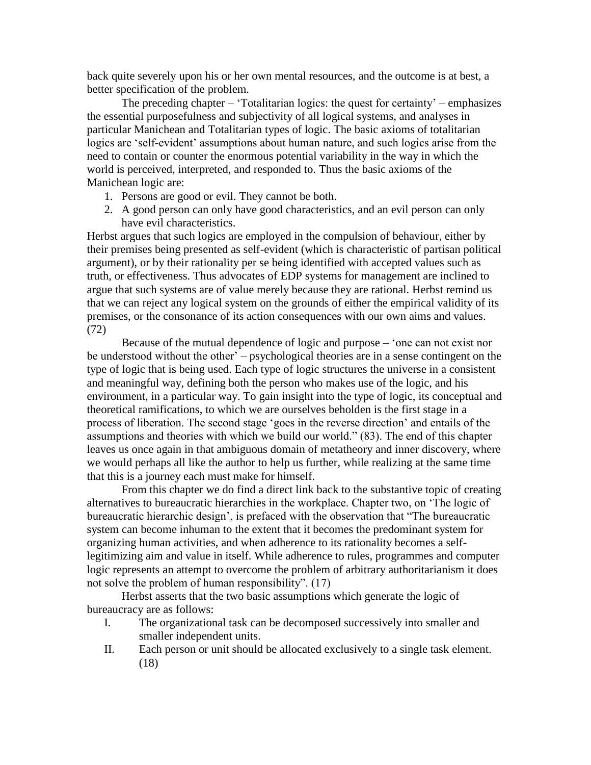back quite severely upon his or her own mental resources, and the outcome is at best, a better specification of the problem.

The preceding chapter – 'Totalitarian logics: the quest for certainty' – emphasizes the essential purposefulness and subjectivity of all logical systems, and analyses in particular Manichean and Totalitarian types of logic. The basic axioms of totalitarian logics are 'self-evident' assumptions about human nature, and such logics arise from the need to contain or counter the enormous potential variability in the way in which the world is perceived, interpreted, and responded to. Thus the basic axioms of the Manichean logic are:

- 1. Persons are good or evil. They cannot be both.
- 2. A good person can only have good characteristics, and an evil person can only have evil characteristics.

Herbst argues that such logics are employed in the compulsion of behaviour, either by their premises being presented as self-evident (which is characteristic of partisan political argument), or by their rationality per se being identified with accepted values such as truth, or effectiveness. Thus advocates of EDP systems for management are inclined to argue that such systems are of value merely because they are rational. Herbst remind us that we can reject any logical system on the grounds of either the empirical validity of its premises, or the consonance of its action consequences with our own aims and values. (72)

Because of the mutual dependence of logic and purpose – 'one can not exist nor be understood without the other' – psychological theories are in a sense contingent on the type of logic that is being used. Each type of logic structures the universe in a consistent and meaningful way, defining both the person who makes use of the logic, and his environment, in a particular way. To gain insight into the type of logic, its conceptual and theoretical ramifications, to which we are ourselves beholden is the first stage in a process of liberation. The second stage 'goes in the reverse direction' and entails of the assumptions and theories with which we build our world." (83). The end of this chapter leaves us once again in that ambiguous domain of metatheory and inner discovery, where we would perhaps all like the author to help us further, while realizing at the same time that this is a journey each must make for himself.

From this chapter we do find a direct link back to the substantive topic of creating alternatives to bureaucratic hierarchies in the workplace. Chapter two, on 'The logic of bureaucratic hierarchic design', is prefaced with the observation that "The bureaucratic system can become inhuman to the extent that it becomes the predominant system for organizing human activities, and when adherence to its rationality becomes a selflegitimizing aim and value in itself. While adherence to rules, programmes and computer logic represents an attempt to overcome the problem of arbitrary authoritarianism it does not solve the problem of human responsibility". (17)

Herbst asserts that the two basic assumptions which generate the logic of bureaucracy are as follows:

- I. The organizational task can be decomposed successively into smaller and smaller independent units.
- II. Each person or unit should be allocated exclusively to a single task element. (18)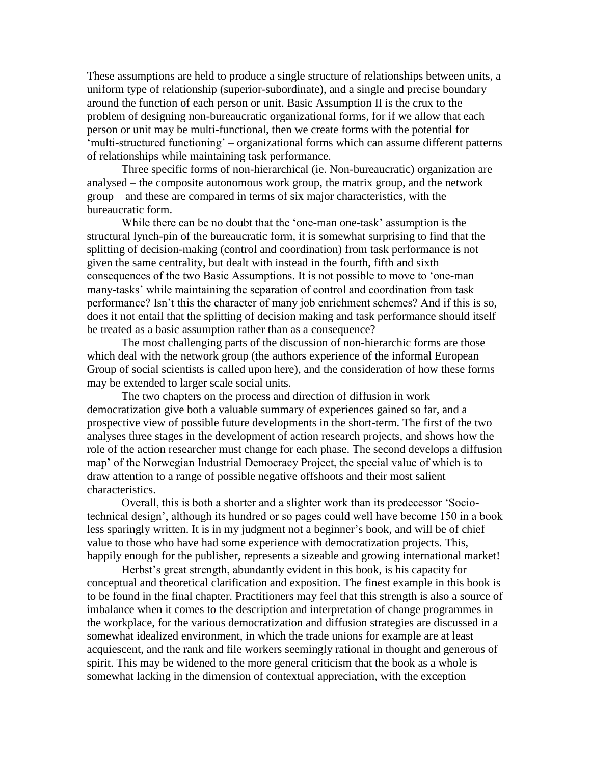These assumptions are held to produce a single structure of relationships between units, a uniform type of relationship (superior-subordinate), and a single and precise boundary around the function of each person or unit. Basic Assumption II is the crux to the problem of designing non-bureaucratic organizational forms, for if we allow that each person or unit may be multi-functional, then we create forms with the potential for 'multi-structured functioning' – organizational forms which can assume different patterns of relationships while maintaining task performance.

Three specific forms of non-hierarchical (ie. Non-bureaucratic) organization are analysed – the composite autonomous work group, the matrix group, and the network group – and these are compared in terms of six major characteristics, with the bureaucratic form.

While there can be no doubt that the 'one-man one-task' assumption is the structural lynch-pin of the bureaucratic form, it is somewhat surprising to find that the splitting of decision-making (control and coordination) from task performance is not given the same centrality, but dealt with instead in the fourth, fifth and sixth consequences of the two Basic Assumptions. It is not possible to move to 'one-man many-tasks' while maintaining the separation of control and coordination from task performance? Isn't this the character of many job enrichment schemes? And if this is so, does it not entail that the splitting of decision making and task performance should itself be treated as a basic assumption rather than as a consequence?

The most challenging parts of the discussion of non-hierarchic forms are those which deal with the network group (the authors experience of the informal European Group of social scientists is called upon here), and the consideration of how these forms may be extended to larger scale social units.

The two chapters on the process and direction of diffusion in work democratization give both a valuable summary of experiences gained so far, and a prospective view of possible future developments in the short-term. The first of the two analyses three stages in the development of action research projects, and shows how the role of the action researcher must change for each phase. The second develops a diffusion map' of the Norwegian Industrial Democracy Project, the special value of which is to draw attention to a range of possible negative offshoots and their most salient characteristics.

Overall, this is both a shorter and a slighter work than its predecessor 'Sociotechnical design', although its hundred or so pages could well have become 150 in a book less sparingly written. It is in my judgment not a beginner's book, and will be of chief value to those who have had some experience with democratization projects. This, happily enough for the publisher, represents a sizeable and growing international market!

Herbst's great strength, abundantly evident in this book, is his capacity for conceptual and theoretical clarification and exposition. The finest example in this book is to be found in the final chapter. Practitioners may feel that this strength is also a source of imbalance when it comes to the description and interpretation of change programmes in the workplace, for the various democratization and diffusion strategies are discussed in a somewhat idealized environment, in which the trade unions for example are at least acquiescent, and the rank and file workers seemingly rational in thought and generous of spirit. This may be widened to the more general criticism that the book as a whole is somewhat lacking in the dimension of contextual appreciation, with the exception